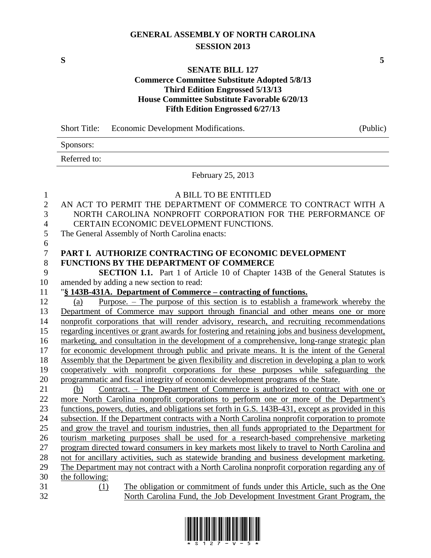# **GENERAL ASSEMBLY OF NORTH CAROLINA SESSION 2013**

**S 5**

### **SENATE BILL 127**

### **Commerce Committee Substitute Adopted 5/8/13 Third Edition Engrossed 5/13/13 House Committee Substitute Favorable 6/20/13 Fifth Edition Engrossed 6/27/13**

|                | Short Title: Economic Development Modifications.                                                  | (Public) |
|----------------|---------------------------------------------------------------------------------------------------|----------|
|                | Sponsors:                                                                                         |          |
|                | Referred to:                                                                                      |          |
|                | February 25, 2013                                                                                 |          |
| $\mathbf{1}$   | A BILL TO BE ENTITLED                                                                             |          |
| $\mathbf{2}$   | AN ACT TO PERMIT THE DEPARTMENT OF COMMERCE TO CONTRACT WITH A                                    |          |
| 3              | NORTH CAROLINA NONPROFIT CORPORATION FOR THE PERFORMANCE OF                                       |          |
| $\overline{4}$ | CERTAIN ECONOMIC DEVELOPMENT FUNCTIONS.                                                           |          |
| 5              | The General Assembly of North Carolina enacts:                                                    |          |
| 6              |                                                                                                   |          |
| $\tau$         | PART I. AUTHORIZE CONTRACTING OF ECONOMIC DEVELOPMENT                                             |          |
| 8              | <b>FUNCTIONS BY THE DEPARTMENT OF COMMERCE</b>                                                    |          |
| 9              | <b>SECTION 1.1.</b> Part 1 of Article 10 of Chapter 143B of the General Statutes is               |          |
| 10             | amended by adding a new section to read:                                                          |          |
| 11             | "§ 143B-431A. Department of Commerce – contracting of functions.                                  |          |
| 12             | Purpose. - The purpose of this section is to establish a framework whereby the<br>(a)             |          |
| 13             | Department of Commerce may support through financial and other means one or more                  |          |
| 14             | nonprofit corporations that will render advisory, research, and recruiting recommendations        |          |
| 15             | regarding incentives or grant awards for fostering and retaining jobs and business development,   |          |
| 16             | marketing, and consultation in the development of a comprehensive, long-range strategic plan      |          |
| 17             | for economic development through public and private means. It is the intent of the General        |          |
| 18             | Assembly that the Department be given flexibility and discretion in developing a plan to work     |          |
| 19             | cooperatively with nonprofit corporations for these purposes while safeguarding the               |          |
| 20             | programmatic and fiscal integrity of economic development programs of the State.                  |          |
| 21             | <u>Contract. – The Department of Commerce is authorized to contract with one or</u><br>(b)        |          |
| 22             | more North Carolina nonprofit corporations to perform one or more of the Department's             |          |
| 23             | functions, powers, duties, and obligations set forth in G.S. 143B-431, except as provided in this |          |
| 24             | subsection. If the Department contracts with a North Carolina nonprofit corporation to promote    |          |
| 25             | and grow the travel and tourism industries, then all funds appropriated to the Department for     |          |
| $26\,$         | tourism marketing purposes shall be used for a research-based comprehensive marketing             |          |
| 27             | program directed toward consumers in key markets most likely to travel to North Carolina and      |          |
| 28             | not for ancillary activities, such as statewide branding and business development marketing.      |          |
| 29             | The Department may not contract with a North Carolina nonprofit corporation regarding any of      |          |
| 30             | the following:                                                                                    |          |
| 31             | The obligation or commitment of funds under this Article, such as the One<br>(1)                  |          |
| 32             | North Carolina Fund, the Job Development Investment Grant Program, the                            |          |

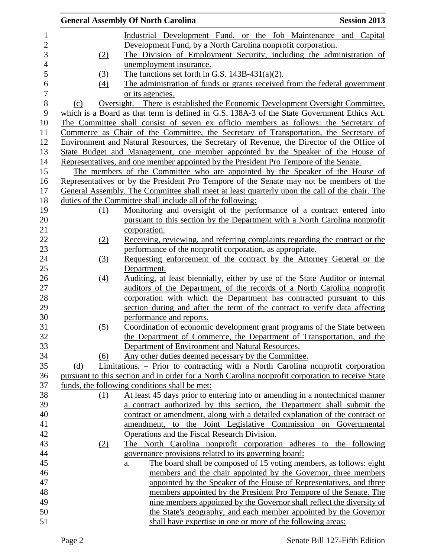|                  | <b>Session 2013</b><br><b>General Assembly Of North Carolina</b>                                  |
|------------------|---------------------------------------------------------------------------------------------------|
|                  | Industrial Development Fund, or the Job Maintenance and Capital                                   |
|                  | Development Fund, by a North Carolina nonprofit corporation.                                      |
| (2)              | The Division of Employment Security, including the administration of                              |
|                  | unemployment insurance.                                                                           |
| <u>(3)</u>       | The functions set forth in G.S. $143B-431(a)(2)$ .                                                |
| (4)              | The administration of funds or grants received from the federal government                        |
|                  | or its agencies.                                                                                  |
| (c)              | <u> Oversight. – There is established the Economic Development Oversight Committee,</u>           |
|                  | which is a Board as that term is defined in G.S. 138A-3 of the State Government Ethics Act.       |
|                  | The Committee shall consist of seven ex officio members as follows: the Secretary of              |
|                  | Commerce as Chair of the Committee, the Secretary of Transportation, the Secretary of             |
|                  | Environment and Natural Resources, the Secretary of Revenue, the Director of the Office of        |
|                  | State Budget and Management, one member appointed by the Speaker of the House of                  |
|                  | Representatives, and one member appointed by the President Pro Tempore of the Senate.             |
|                  | The members of the Committee who are appointed by the Speaker of the House of                     |
|                  | Representatives or by the President Pro Tempore of the Senate may not be members of the           |
|                  | General Assembly. The Committee shall meet at least quarterly upon the call of the chair. The     |
|                  | duties of the Committee shall include all of the following:                                       |
| (1)              | Monitoring and oversight of the performance of a contract entered into                            |
|                  | pursuant to this section by the Department with a North Carolina nonprofit                        |
|                  | corporation.                                                                                      |
| (2)              | Receiving, reviewing, and referring complaints regarding the contract or the                      |
|                  | performance of the nonprofit corporation, as appropriate.                                         |
| (3)              | Requesting enforcement of the contract by the Attorney General or the                             |
|                  | Department.                                                                                       |
| $\left(4\right)$ | Auditing, at least biennially, either by use of the State Auditor or internal                     |
|                  | auditors of the Department, of the records of a North Carolina nonprofit                          |
|                  | corporation with which the Department has contracted pursuant to this                             |
|                  | section during and after the term of the contract to verify data affecting                        |
|                  | performance and reports.                                                                          |
| (5)              | Coordination of economic development grant programs of the State between                          |
|                  | the Department of Commerce, the Department of Transportation, and the                             |
|                  | Department of Environment and Natural Resources.                                                  |
| (6)              | Any other duties deemed necessary by the Committee.                                               |
| (d)              | Limitations. – Prior to contracting with a North Carolina nonprofit corporation                   |
|                  | pursuant to this section and in order for a North Carolina nonprofit corporation to receive State |
|                  | funds, the following conditions shall be met:                                                     |
| (1)              | At least 45 days prior to entering into or amending in a nontechnical manner                      |
|                  | a contract authorized by this section, the Department shall submit the                            |
|                  | contract or amendment, along with a detailed explanation of the contract or                       |
|                  | amendment, to the Joint Legislative Commission on Governmental                                    |
|                  | Operations and the Fiscal Research Division.                                                      |
| (2)              | The North Carolina nonprofit corporation adheres to the following                                 |
|                  | governance provisions related to its governing board:                                             |
|                  | The board shall be composed of 15 voting members, as follows: eight<br>a.                         |
|                  | members and the chair appointed by the Governor, three members                                    |
|                  | appointed by the Speaker of the House of Representatives, and three                               |
|                  | members appointed by the President Pro Tempore of the Senate. The                                 |
|                  | nine members appointed by the Governor shall reflect the diversity of                             |
|                  | the State's geography, and each member appointed by the Governor                                  |
|                  | shall have expertise in one or more of the following areas:                                       |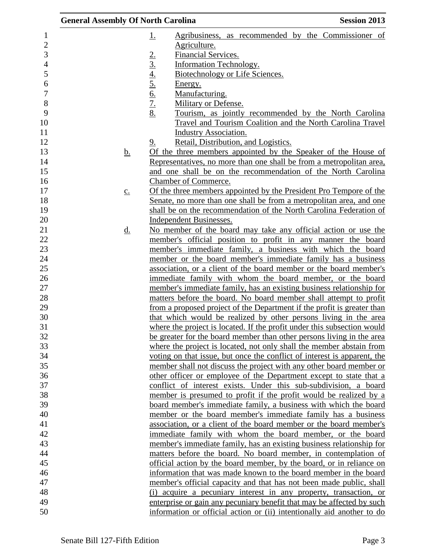| <b>General Assembly Of North Carolina</b> |                                                                  | <b>Session 2013</b>                                                      |
|-------------------------------------------|------------------------------------------------------------------|--------------------------------------------------------------------------|
|                                           | <u>1.</u>                                                        | Agribusiness, as recommended by the Commissioner of                      |
|                                           | Agriculture.                                                     |                                                                          |
|                                           | Financial Services.                                              |                                                                          |
|                                           | <b>Information Technology.</b>                                   |                                                                          |
|                                           | Biotechnology or Life Sciences.                                  |                                                                          |
|                                           | Energy.                                                          |                                                                          |
|                                           | Manufacturing.                                                   |                                                                          |
|                                           | $\frac{2.3 \pm 4.5}{5.6 \pm 2.8}$<br><b>Military or Defense.</b> |                                                                          |
|                                           |                                                                  | Tourism, as jointly recommended by the North Carolina                    |
|                                           |                                                                  | Travel and Tourism Coalition and the North Carolina Travel               |
|                                           | <b>Industry Association.</b>                                     |                                                                          |
|                                           | Retail, Distribution, and Logistics.<br><u>9.</u>                |                                                                          |
| <u>b.</u>                                 |                                                                  | Of the three members appointed by the Speaker of the House of            |
|                                           |                                                                  | Representatives, no more than one shall be from a metropolitan area,     |
|                                           |                                                                  | and one shall be on the recommendation of the North Carolina             |
|                                           | Chamber of Commerce.                                             |                                                                          |
|                                           |                                                                  | Of the three members appointed by the President Pro Tempore of the       |
| $\underline{c}$ .                         |                                                                  |                                                                          |
|                                           |                                                                  | Senate, no more than one shall be from a metropolitan area, and one      |
|                                           |                                                                  | shall be on the recommendation of the North Carolina Federation of       |
|                                           | Independent Businesses.                                          |                                                                          |
| <u>d.</u>                                 |                                                                  | No member of the board may take any official action or use the           |
|                                           |                                                                  | member's official position to profit in any manner the board             |
|                                           |                                                                  | member's immediate family, a business with which the board               |
|                                           |                                                                  | member or the board member's immediate family has a business             |
|                                           |                                                                  | association, or a client of the board member or the board member's       |
|                                           |                                                                  | immediate family with whom the board member, or the board                |
|                                           |                                                                  | member's immediate family, has an existing business relationship for     |
|                                           |                                                                  | matters before the board. No board member shall attempt to profit        |
|                                           |                                                                  | from a proposed project of the Department if the profit is greater than  |
|                                           |                                                                  | that which would be realized by other persons living in the area         |
|                                           |                                                                  | where the project is located. If the profit under this subsection would  |
|                                           |                                                                  | be greater for the board member than other persons living in the area    |
|                                           |                                                                  | where the project is located, not only shall the member abstain from     |
|                                           |                                                                  | voting on that issue, but once the conflict of interest is apparent, the |
|                                           |                                                                  | member shall not discuss the project with any other board member or      |
|                                           |                                                                  | other officer or employee of the Department except to state that a       |
|                                           |                                                                  | conflict of interest exists. Under this sub-subdivision, a board         |
|                                           |                                                                  | member is presumed to profit if the profit would be realized by a        |
|                                           |                                                                  | board member's immediate family, a business with which the board         |
|                                           |                                                                  | member or the board member's immediate family has a business             |
|                                           |                                                                  | association, or a client of the board member or the board member's       |
|                                           |                                                                  | immediate family with whom the board member, or the board                |
|                                           |                                                                  | member's immediate family, has an existing business relationship for     |
|                                           |                                                                  | matters before the board. No board member, in contemplation of           |
|                                           |                                                                  | official action by the board member, by the board, or in reliance on     |
|                                           |                                                                  | information that was made known to the board member in the board         |
|                                           |                                                                  | member's official capacity and that has not been made public, shall      |
|                                           |                                                                  | (i) acquire a pecuniary interest in any property, transaction, or        |
|                                           |                                                                  | enterprise or gain any pecuniary benefit that may be affected by such    |
|                                           |                                                                  | information or official action or (ii) intentionally aid another to do   |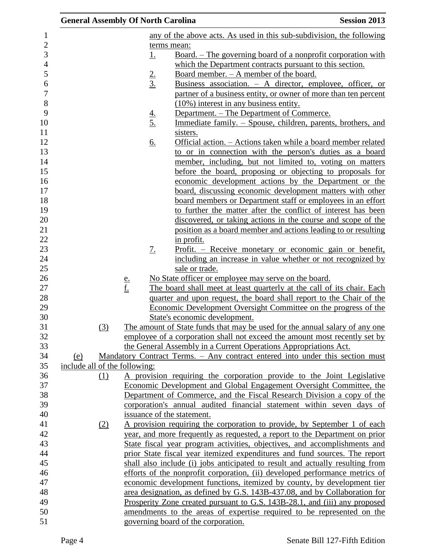| <b>General Assembly Of North Carolina</b> |               |               |                                                                                                                                                          | <b>Session 2013</b> |
|-------------------------------------------|---------------|---------------|----------------------------------------------------------------------------------------------------------------------------------------------------------|---------------------|
|                                           |               |               | any of the above acts. As used in this sub-subdivision, the following                                                                                    |                     |
|                                           |               |               | terms mean:                                                                                                                                              |                     |
|                                           |               | <u>1.</u>     | <u>Board. – The governing board of a nonprofit corporation with</u>                                                                                      |                     |
|                                           |               |               | which the Department contracts pursuant to this section.                                                                                                 |                     |
|                                           |               |               | Board member. - A member of the board.                                                                                                                   |                     |
|                                           |               | $\frac{2}{3}$ | <u>Business association. <math>-</math> A director, employee, officer, or</u>                                                                            |                     |
|                                           |               |               | partner of a business entity, or owner of more than ten percent                                                                                          |                     |
|                                           |               |               | (10%) interest in any business entity.                                                                                                                   |                     |
|                                           |               |               | Department. – The Department of Commerce.                                                                                                                |                     |
|                                           |               | $\frac{4}{5}$ | Immediate family. - Spouse, children, parents, brothers, and                                                                                             |                     |
|                                           |               |               | sisters.                                                                                                                                                 |                     |
|                                           |               | <u>6.</u>     | Official action. - Actions taken while a board member related                                                                                            |                     |
|                                           |               |               | to or in connection with the person's duties as a board                                                                                                  |                     |
|                                           |               |               | member, including, but not limited to, voting on matters                                                                                                 |                     |
|                                           |               |               | before the board, proposing or objecting to proposals for                                                                                                |                     |
|                                           |               |               | economic development actions by the Department or the                                                                                                    |                     |
|                                           |               |               | board, discussing economic development matters with other                                                                                                |                     |
|                                           |               |               | board members or Department staff or employees in an effort                                                                                              |                     |
|                                           |               |               | to further the matter after the conflict of interest has been                                                                                            |                     |
|                                           |               |               | discovered, or taking actions in the course and scope of the                                                                                             |                     |
|                                           |               |               | position as a board member and actions leading to or resulting                                                                                           |                     |
|                                           |               |               | in profit.                                                                                                                                               |                     |
|                                           |               | <u>7.</u>     | <u>Profit. – Receive monetary or economic gain or benefit,</u>                                                                                           |                     |
|                                           |               |               | including an increase in value whether or not recognized by                                                                                              |                     |
|                                           |               |               | sale or trade.                                                                                                                                           |                     |
|                                           | $\frac{e}{f}$ |               | No State officer or employee may serve on the board.                                                                                                     |                     |
|                                           |               |               | The board shall meet at least quarterly at the call of its chair. Each                                                                                   |                     |
|                                           |               |               | quarter and upon request, the board shall report to the Chair of the                                                                                     |                     |
|                                           |               |               | Economic Development Oversight Committee on the progress of the                                                                                          |                     |
|                                           |               |               | State's economic development.                                                                                                                            |                     |
| (3)                                       |               |               | The amount of State funds that may be used for the annual salary of any one                                                                              |                     |
|                                           |               |               | employee of a corporation shall not exceed the amount most recently set by                                                                               |                     |
|                                           |               |               | the General Assembly in a Current Operations Appropriations Act.                                                                                         |                     |
| (e)                                       |               |               | Mandatory Contract Terms. - Any contract entered into under this section must                                                                            |                     |
| include all of the following:             |               |               |                                                                                                                                                          |                     |
| (1)                                       |               |               | A provision requiring the corporation provide to the Joint Legislative                                                                                   |                     |
|                                           |               |               | Economic Development and Global Engagement Oversight Committee, the                                                                                      |                     |
|                                           |               |               | Department of Commerce, and the Fiscal Research Division a copy of the<br>corporation's annual audited financial statement within seven days of          |                     |
|                                           |               |               | issuance of the statement.                                                                                                                               |                     |
|                                           |               |               | A provision requiring the corporation to provide, by September 1 of each                                                                                 |                     |
| (2)                                       |               |               |                                                                                                                                                          |                     |
|                                           |               |               | year, and more frequently as requested, a report to the Department on prior<br>State fiscal year program activities, objectives, and accomplishments and |                     |
|                                           |               |               | prior State fiscal year itemized expenditures and fund sources. The report                                                                               |                     |
|                                           |               |               | shall also include (i) jobs anticipated to result and actually resulting from                                                                            |                     |
|                                           |               |               | efforts of the nonprofit corporation, (ii) developed performance metrics of                                                                              |                     |
|                                           |               |               | economic development functions, itemized by county, by development tier                                                                                  |                     |
|                                           |               |               | area designation, as defined by G.S. 143B-437.08, and by Collaboration for                                                                               |                     |
|                                           |               |               | Prosperity Zone created pursuant to G.S. 143B-28.1, and (iii) any proposed                                                                               |                     |
|                                           |               |               | amendments to the areas of expertise required to be represented on the                                                                                   |                     |
|                                           |               |               | governing board of the corporation.                                                                                                                      |                     |
|                                           |               |               |                                                                                                                                                          |                     |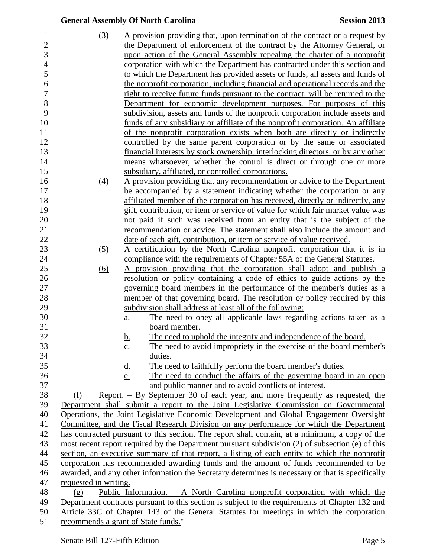|                       | <b>General Assembly Of North Carolina</b>                                                                                                                                      | <b>Session 2013</b> |
|-----------------------|--------------------------------------------------------------------------------------------------------------------------------------------------------------------------------|---------------------|
| (3)                   | A provision providing that, upon termination of the contract or a request by                                                                                                   |                     |
|                       | the Department of enforcement of the contract by the Attorney General, or                                                                                                      |                     |
|                       | upon action of the General Assembly repealing the charter of a nonprofit                                                                                                       |                     |
|                       | corporation with which the Department has contracted under this section and                                                                                                    |                     |
|                       | to which the Department has provided assets or funds, all assets and funds of                                                                                                  |                     |
|                       | the nonprofit corporation, including financial and operational records and the                                                                                                 |                     |
|                       | right to receive future funds pursuant to the contract, will be returned to the                                                                                                |                     |
|                       | Department <u>for economic development</u> purposes. For purposes of this                                                                                                      |                     |
|                       | subdivision, assets and funds of the nonprofit corporation include assets and                                                                                                  |                     |
|                       | funds of any subsidiary or affiliate of the nonprofit corporation. An affiliate                                                                                                |                     |
|                       | of the nonprofit corporation exists when both are directly or indirectly                                                                                                       |                     |
|                       | controlled by the same parent corporation or by the same or associated                                                                                                         |                     |
|                       | financial interests by stock ownership, interlocking directors, or by any other                                                                                                |                     |
|                       | means whatsoever, whether the control is direct or through one or more                                                                                                         |                     |
|                       | subsidiary, affiliated, or controlled corporations.                                                                                                                            |                     |
| (4)                   | A provision providing that any recommendation or advice to the Department                                                                                                      |                     |
|                       | be accompanied by a statement indicating whether the corporation or any                                                                                                        |                     |
|                       | affiliated member of the corporation has received, directly or indirectly, any                                                                                                 |                     |
|                       | gift, contribution, or item or service of value for which fair market value was                                                                                                |                     |
|                       | not paid if such was received from an entity that is the subject of the                                                                                                        |                     |
|                       | recommendation or advice. The statement shall also include the amount and                                                                                                      |                     |
|                       | date of each gift, contribution, or item or service of value received.                                                                                                         |                     |
| (5)                   | A certification by the North Carolina nonprofit corporation that it is in                                                                                                      |                     |
|                       | compliance with the requirements of Chapter 55A of the General Statutes.                                                                                                       |                     |
| (6)                   | A provision providing that the corporation shall adopt and publish a                                                                                                           |                     |
|                       | <u>resolution or policy containing a code of ethics to guide actions by the</u>                                                                                                |                     |
|                       | governing board members in the performance of the member's duties as a                                                                                                         |                     |
|                       | member of that governing board. The resolution or policy required by this                                                                                                      |                     |
|                       | subdivision shall address at least all of the following:                                                                                                                       |                     |
|                       | The need to obey all applicable laws regarding actions taken as a<br>$\underline{a}$ .                                                                                         |                     |
|                       | board member.                                                                                                                                                                  |                     |
|                       | <u>b.</u><br>The need to uphold the integrity and independence of the board.                                                                                                   |                     |
|                       | The need to avoid impropriety in the exercise of the board member's<br>$\underline{c}$ .                                                                                       |                     |
|                       | duties.                                                                                                                                                                        |                     |
|                       | The need to faithfully perform the board member's duties.<br><u>d.</u>                                                                                                         |                     |
|                       | The need to conduct the affairs of the governing board in an open<br>e.                                                                                                        |                     |
|                       | and public manner and to avoid conflicts of interest.                                                                                                                          |                     |
| (f)                   | Report. $-$ By September 30 of each year, and more frequently as requested, the                                                                                                |                     |
|                       | Department shall submit a report to the Joint Legislative Commission on Governmental<br>Operations, the Joint Legislative Economic Development and Global Engagement Oversight |                     |
|                       | Committee, and the Fiscal Research Division on any performance for which the Department                                                                                        |                     |
|                       | has contracted pursuant to this section. The report shall contain, at a minimum, a copy of the                                                                                 |                     |
|                       | most recent report required by the Department pursuant subdivision (2) of subsection (e) of this                                                                               |                     |
|                       | section, an executive summary of that report, a listing of each entity to which the nonprofit                                                                                  |                     |
|                       | corporation has recommended awarding funds and the amount of funds recommended to be                                                                                           |                     |
|                       | awarded, and any other information the Secretary determines is necessary or that is specifically                                                                               |                     |
| requested in writing. |                                                                                                                                                                                |                     |
| (g)                   | Public Information. - A North Carolina nonprofit corporation with which the                                                                                                    |                     |
|                       | Department contracts pursuant to this section is subject to the requirements of Chapter 132 and                                                                                |                     |
|                       | Article 33C of Chapter 143 of the General Statutes for meetings in which the corporation                                                                                       |                     |
|                       | recommends a grant of State funds."                                                                                                                                            |                     |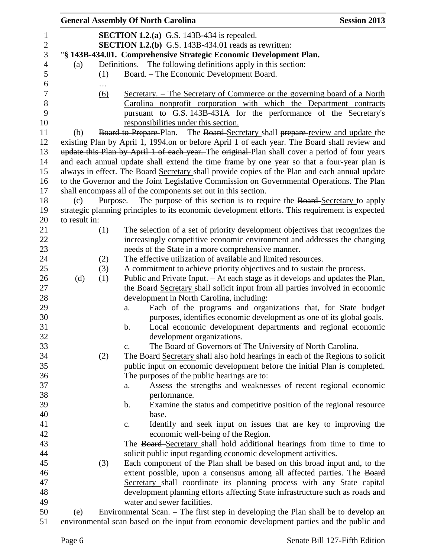|               |                   | <b>General Assembly Of North Carolina</b>                                                       | <b>Session 2013</b> |
|---------------|-------------------|-------------------------------------------------------------------------------------------------|---------------------|
|               |                   | <b>SECTION 1.2.(a)</b> G.S. 143B-434 is repealed.                                               |                     |
|               |                   | <b>SECTION 1.2.(b)</b> G.S. 143B-434.01 reads as rewritten:                                     |                     |
|               |                   | "§ 143B-434.01. Comprehensive Strategic Economic Development Plan.                              |                     |
| (a)           |                   | Definitions. – The following definitions apply in this section:                                 |                     |
|               | $\leftrightarrow$ | Board. - The Economic Development Board.                                                        |                     |
|               |                   |                                                                                                 |                     |
|               | $\underline{(6)}$ | <u>Secretary. – The Secretary of Commerce or the governing board of a North</u>                 |                     |
|               |                   | Carolina nonprofit corporation with which the Department contracts                              |                     |
|               |                   | pursuant to G.S. 143B-431A for the performance of the Secretary's                               |                     |
|               |                   | responsibilities under this section.                                                            |                     |
| (b)           |                   | Board to Prepare-Plan. - The Board-Secretary shall prepare-review and update the                |                     |
|               |                   | existing Plan by April 1, 1994.on or before April 1 of each year. The Board shall review and    |                     |
|               |                   | update this Plan by April 1 of each year. The original Plan shall cover a period of four years  |                     |
|               |                   | and each annual update shall extend the time frame by one year so that a four-year plan is      |                     |
|               |                   | always in effect. The Board Secretary shall provide copies of the Plan and each annual update   |                     |
|               |                   | to the Governor and the Joint Legislative Commission on Governmental Operations. The Plan       |                     |
|               |                   | shall encompass all of the components set out in this section.                                  |                     |
| (c)           |                   | Purpose. – The purpose of this section is to require the Board-Secretary to apply               |                     |
|               |                   | strategic planning principles to its economic development efforts. This requirement is expected |                     |
| to result in: |                   |                                                                                                 |                     |
|               | (1)               | The selection of a set of priority development objectives that recognizes the                   |                     |
|               |                   | increasingly competitive economic environment and addresses the changing                        |                     |
|               |                   | needs of the State in a more comprehensive manner.                                              |                     |
|               | (2)               | The effective utilization of available and limited resources.                                   |                     |
|               | (3)               | A commitment to achieve priority objectives and to sustain the process.                         |                     |
| (d)           | (1)               | Public and Private Input. - At each stage as it develops and updates the Plan,                  |                     |
|               |                   | the Board-Secretary shall solicit input from all parties involved in economic                   |                     |
|               |                   | development in North Carolina, including:                                                       |                     |
|               |                   | Each of the programs and organizations that, for State budget<br>a.                             |                     |
|               |                   | purposes, identifies economic development as one of its global goals.                           |                     |
|               |                   | Local economic development departments and regional economic<br>b.                              |                     |
|               |                   | development organizations.                                                                      |                     |
|               |                   | The Board of Governors of The University of North Carolina.<br>c.                               |                     |
|               | (2)               | The Board-Secretary shall also hold hearings in each of the Regions to solicit                  |                     |
|               |                   | public input on economic development before the initial Plan is completed.                      |                     |
|               |                   | The purposes of the public hearings are to:                                                     |                     |
|               |                   | Assess the strengths and weaknesses of recent regional economic<br>a.                           |                     |
|               |                   | performance.                                                                                    |                     |
|               |                   | Examine the status and competitive position of the regional resource<br>b.                      |                     |
|               |                   | base.                                                                                           |                     |
|               |                   | Identify and seek input on issues that are key to improving the<br>c.                           |                     |
|               |                   | economic well-being of the Region.                                                              |                     |
|               |                   | The Board-Secretary shall hold additional hearings from time to time to                         |                     |
|               |                   | solicit public input regarding economic development activities.                                 |                     |
|               | (3)               | Each component of the Plan shall be based on this broad input and, to the                       |                     |
|               |                   | extent possible, upon a consensus among all affected parties. The Board                         |                     |
|               |                   | Secretary shall coordinate its planning process with any State capital                          |                     |
|               |                   | development planning efforts affecting State infrastructure such as roads and                   |                     |
|               |                   | water and sewer facilities.                                                                     |                     |
| (e)           |                   | Environmental Scan. – The first step in developing the Plan shall be to develop an              |                     |
|               |                   | environmental scan based on the input from economic development parties and the public and      |                     |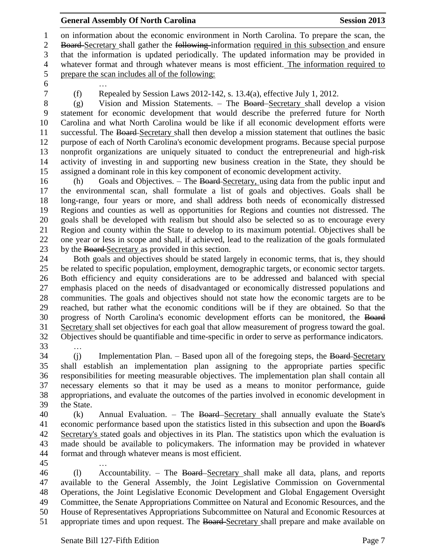on information about the economic environment in North Carolina. To prepare the scan, the 2 Board-Secretary shall gather the following information required in this subsection and ensure that the information is updated periodically. The updated information may be provided in whatever format and through whatever means is most efficient. The information required to prepare the scan includes all of the following:

…

(f) Repealed by Session Laws 2012-142, s. 13.4(a), effective July 1, 2012.

 (g) Vision and Mission Statements. – The Board Secretary shall develop a vision statement for economic development that would describe the preferred future for North Carolina and what North Carolina would be like if all economic development efforts were successful. The Board Secretary shall then develop a mission statement that outlines the basic purpose of each of North Carolina's economic development programs. Because special purpose nonprofit organizations are uniquely situated to conduct the entrepreneurial and high-risk activity of investing in and supporting new business creation in the State, they should be assigned a dominant role in this key component of economic development activity.

 (h) Goals and Objectives. – The Board Secretary, using data from the public input and the environmental scan, shall formulate a list of goals and objectives. Goals shall be long-range, four years or more, and shall address both needs of economically distressed Regions and counties as well as opportunities for Regions and counties not distressed. The goals shall be developed with realism but should also be selected so as to encourage every Region and county within the State to develop to its maximum potential. Objectives shall be one year or less in scope and shall, if achieved, lead to the realization of the goals formulated by the Board Secretary as provided in this section.

 Both goals and objectives should be stated largely in economic terms, that is, they should be related to specific population, employment, demographic targets, or economic sector targets. Both efficiency and equity considerations are to be addressed and balanced with special emphasis placed on the needs of disadvantaged or economically distressed populations and communities. The goals and objectives should not state how the economic targets are to be reached, but rather what the economic conditions will be if they are obtained. So that the progress of North Carolina's economic development efforts can be monitored, the Board Secretary shall set objectives for each goal that allow measurement of progress toward the goal. Objectives should be quantifiable and time-specific in order to serve as performance indicators. …

34 (j) Implementation Plan. – Based upon all of the foregoing steps, the Board-Secretary shall establish an implementation plan assigning to the appropriate parties specific responsibilities for meeting measurable objectives. The implementation plan shall contain all necessary elements so that it may be used as a means to monitor performance, guide appropriations, and evaluate the outcomes of the parties involved in economic development in the State.

40 (k) Annual Evaluation. – The Board-Secretary shall annually evaluate the State's economic performance based upon the statistics listed in this subsection and upon the Board's Secretary's stated goals and objectives in its Plan. The statistics upon which the evaluation is made should be available to policymakers. The information may be provided in whatever format and through whatever means is most efficient.

…

 (l) Accountability. – The Board Secretary shall make all data, plans, and reports available to the General Assembly, the Joint Legislative Commission on Governmental Operations, the Joint Legislative Economic Development and Global Engagement Oversight Committee, the Senate Appropriations Committee on Natural and Economic Resources, and the House of Representatives Appropriations Subcommittee on Natural and Economic Resources at 51 appropriate times and upon request. The Board-Secretary shall prepare and make available on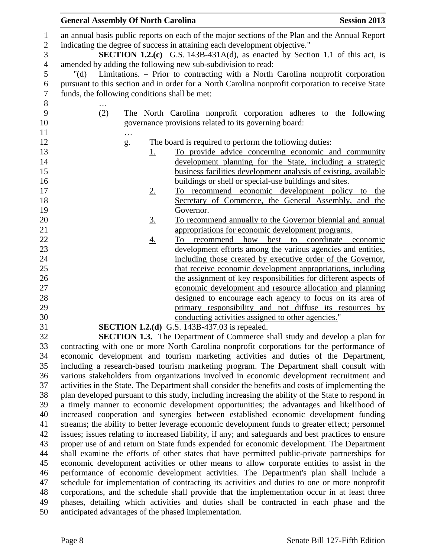|                 | <b>General Assembly Of North Carolina</b>                                                                                                                                    | <b>Session 2013</b> |
|-----------------|------------------------------------------------------------------------------------------------------------------------------------------------------------------------------|---------------------|
|                 | an annual basis public reports on each of the major sections of the Plan and the Annual Report<br>indicating the degree of success in attaining each development objective." |                     |
|                 | SECTION 1.2.(c) G.S. 143B-431A(d), as enacted by Section 1.1 of this act, is                                                                                                 |                     |
|                 | amended by adding the following new sub-subdivision to read:                                                                                                                 |                     |
| $"(\mathrm{d})$ | Limitations. – Prior to contracting with a North Carolina nonprofit corporation                                                                                              |                     |
|                 | pursuant to this section and in order for a North Carolina nonprofit corporation to receive State                                                                            |                     |
|                 | funds, the following conditions shall be met:                                                                                                                                |                     |
|                 |                                                                                                                                                                              |                     |
| (2)             | The North Carolina nonprofit corporation adheres to the following                                                                                                            |                     |
|                 | governance provisions related to its governing board:                                                                                                                        |                     |
|                 | $\ldots$                                                                                                                                                                     |                     |
|                 | The board is required to perform the following duties:<br>$g_{\cdot}$                                                                                                        |                     |
|                 | To provide advice concerning economic and community<br><u>1.</u>                                                                                                             |                     |
|                 | development planning for the State, including a strategic                                                                                                                    |                     |
|                 | business facilities development analysis of existing, available                                                                                                              |                     |
|                 | buildings or shell or special-use buildings and sites.                                                                                                                       |                     |
|                 | To recommend economic development policy to the<br>2.                                                                                                                        |                     |
|                 | Secretary of Commerce, the General Assembly, and the                                                                                                                         |                     |
|                 | Governor.                                                                                                                                                                    |                     |
|                 | To recommend annually to the Governor biennial and annual<br><u>3.</u>                                                                                                       |                     |
|                 | appropriations for economic development programs.                                                                                                                            |                     |
|                 | best to coordinate<br>To recommend how<br><u>4.</u>                                                                                                                          | economic            |
|                 | development efforts among the various agencies and entities,                                                                                                                 |                     |
|                 | including those created by executive order of the Governor,                                                                                                                  |                     |
|                 | that receive economic development appropriations, including                                                                                                                  |                     |
|                 | the assignment of key responsibilities for different aspects of                                                                                                              |                     |
|                 | economic development and resource allocation and planning                                                                                                                    |                     |
|                 | designed to encourage each agency to focus on its area of                                                                                                                    |                     |
|                 | primary responsibility and not diffuse its resources by                                                                                                                      |                     |
|                 | conducting activities assigned to other agencies."                                                                                                                           |                     |
|                 | <b>SECTION 1.2.(d)</b> G.S. 143B-437.03 is repealed.                                                                                                                         |                     |
|                 | <b>SECTION 1.3.</b> The Department of Commerce shall study and develop a plan for                                                                                            |                     |
|                 | contracting with one or more North Carolina nonprofit corporations for the performance of                                                                                    |                     |
|                 | economic development and tourism marketing activities and duties of the Department,                                                                                          |                     |
|                 | including a research-based tourism marketing program. The Department shall consult with                                                                                      |                     |
|                 | various stakeholders from organizations involved in economic development recruitment and                                                                                     |                     |
|                 | activities in the State. The Department shall consider the benefits and costs of implementing the                                                                            |                     |
|                 | plan developed pursuant to this study, including increasing the ability of the State to respond in                                                                           |                     |
|                 | a timely manner to economic development opportunities; the advantages and likelihood of                                                                                      |                     |
|                 | increased cooperation and synergies between established economic development funding                                                                                         |                     |
|                 | streams; the ability to better leverage economic development funds to greater effect; personnel                                                                              |                     |
|                 | issues; issues relating to increased liability, if any; and safeguards and best practices to ensure                                                                          |                     |
|                 | proper use of and return on State funds expended for economic development. The Department                                                                                    |                     |
|                 | shall examine the efforts of other states that have permitted public-private partnerships for                                                                                |                     |
|                 | economic development activities or other means to allow corporate entities to assist in the                                                                                  |                     |
|                 | performance of economic development activities. The Department's plan shall include a                                                                                        |                     |
|                 | schedule for implementation of contracting its activities and duties to one or more nonprofit                                                                                |                     |

 corporations, and the schedule shall provide that the implementation occur in at least three phases, detailing which activities and duties shall be contracted in each phase and the anticipated advantages of the phased implementation.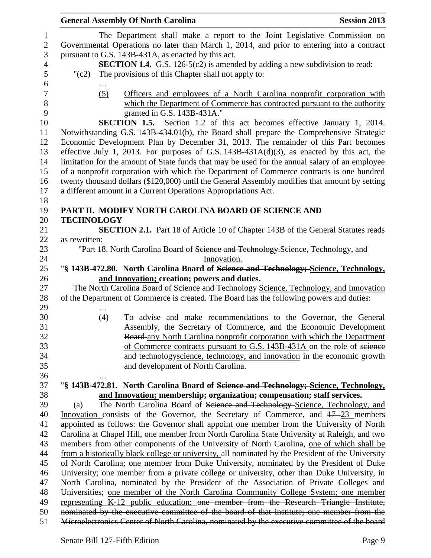|                   | <b>General Assembly Of North Carolina</b>                                                         | <b>Session 2013</b> |
|-------------------|---------------------------------------------------------------------------------------------------|---------------------|
|                   | The Department shall make a report to the Joint Legislative Commission on                         |                     |
|                   | Governmental Operations no later than March 1, 2014, and prior to entering into a contract        |                     |
|                   | pursuant to G.S. 143B-431A, as enacted by this act.                                               |                     |
|                   | <b>SECTION 1.4.</b> G.S. 126-5(c2) is amended by adding a new subdivision to read:                |                     |
| $"({c}2)$         | The provisions of this Chapter shall not apply to:                                                |                     |
|                   |                                                                                                   |                     |
| (5)               | Officers and employees of a North Carolina nonprofit corporation with                             |                     |
|                   | which the Department of Commerce has contracted pursuant to the authority                         |                     |
|                   | granted in G.S. 143B-431A."                                                                       |                     |
|                   | SECTION 1.5. Section 1.2 of this act becomes effective January 1, 2014.                           |                     |
|                   | Notwithstanding G.S. 143B-434.01(b), the Board shall prepare the Comprehensive Strategic          |                     |
|                   | Economic Development Plan by December 31, 2013. The remainder of this Part becomes                |                     |
|                   | effective July 1, 2013. For purposes of G.S. $143B-431A(d)(3)$ , as enacted by this act, the      |                     |
|                   | limitation for the amount of State funds that may be used for the annual salary of an employee    |                     |
|                   | of a nonprofit corporation with which the Department of Commerce contracts is one hundred         |                     |
|                   | twenty thousand dollars (\$120,000) until the General Assembly modifies that amount by setting    |                     |
|                   | a different amount in a Current Operations Appropriations Act.                                    |                     |
|                   |                                                                                                   |                     |
|                   | PART II. MODIFY NORTH CAROLINA BOARD OF SCIENCE AND                                               |                     |
| <b>TECHNOLOGY</b> |                                                                                                   |                     |
|                   | <b>SECTION 2.1.</b> Part 18 of Article 10 of Chapter 143B of the General Statutes reads           |                     |
| as rewritten:     |                                                                                                   |                     |
|                   | "Part 18. North Carolina Board of Science and Technology, Science, Technology, and                |                     |
|                   | Innovation.                                                                                       |                     |
|                   | "§ 143B-472.80. North Carolina Board of Science and Technology; Science, Technology,              |                     |
|                   | and Innovation; creation; powers and duties.                                                      |                     |
|                   | The North Carolina Board of Science and Technology-Science, Technology, and Innovation            |                     |
|                   | of the Department of Commerce is created. The Board has the following powers and duties:          |                     |
|                   |                                                                                                   |                     |
| (4)               | To advise and make recommendations to the Governor, the General                                   |                     |
|                   | Assembly, the Secretary of Commerce, and the Economic Development                                 |                     |
|                   | Board-any North Carolina nonprofit corporation with which the Department                          |                     |
|                   |                                                                                                   |                     |
|                   | of Commerce contracts pursuant to G.S. 143B-431A on the role of science                           |                     |
|                   | and technologyscience, technology, and innovation in the economic growth                          |                     |
|                   | and development of North Carolina.                                                                |                     |
|                   |                                                                                                   |                     |
|                   | "§ 143B-472.81. North Carolina Board of Science and Technology; Science, Technology,              |                     |
|                   | and Innovation; membership; organization; compensation; staff services.                           |                     |
| (a)               | The North Carolina Board of Science and Technology-Science, Technology, and                       |                     |
|                   | Innovation consists of the Governor, the Secretary of Commerce, and 17–23 members                 |                     |
|                   | appointed as follows: the Governor shall appoint one member from the University of North          |                     |
|                   | Carolina at Chapel Hill, one member from North Carolina State University at Raleigh, and two      |                     |
|                   | members from other components of the University of North Carolina, one of which shall be          |                     |
|                   | from a historically black college or university, all nominated by the President of the University |                     |
|                   | of North Carolina; one member from Duke University, nominated by the President of Duke            |                     |
|                   | University; one member from a private college or university, other than Duke University, in       |                     |
|                   | North Carolina, nominated by the President of the Association of Private Colleges and             |                     |
|                   | Universities; one member of the North Carolina Community College System; one member               |                     |
|                   | representing K-12 public education; one member from the Research Triangle Institute,              |                     |
|                   | nominated by the executive committee of the board of that institute; one member from the          |                     |
|                   | Microelectronics Center of North Carolina, nominated by the executive committee of the board      |                     |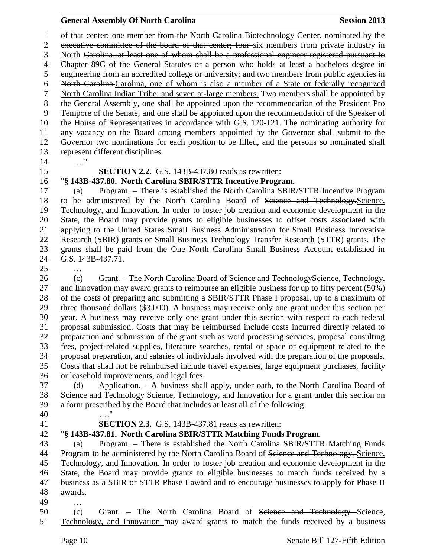of that center; one member from the North Carolina Biotechnology Center, nominated by the executive committee of the board of that center; four six members from private industry in North Carolina, at least one of whom shall be a professional engineer registered pursuant to Chapter 89C of the General Statutes or a person who holds at least a bachelors degree in engineering from an accredited college or university; and two members from public agencies in North Carolina.Carolina, one of whom is also a member of a State or federally recognized North Carolina Indian Tribe; and seven at-large members. Two members shall be appointed by the General Assembly, one shall be appointed upon the recommendation of the President Pro Tempore of the Senate, and one shall be appointed upon the recommendation of the Speaker of the House of Representatives in accordance with G.S. 120-121. The nominating authority for any vacancy on the Board among members appointed by the Governor shall submit to the Governor two nominations for each position to be filled, and the persons so nominated shall represent different disciplines.

…."

### **SECTION 2.2.** G.S. 143B-437.80 reads as rewritten:

### "**§ 143B-437.80. North Carolina SBIR/STTR Incentive Program.**

 (a) Program. – There is established the North Carolina SBIR/STTR Incentive Program to be administered by the North Carolina Board of Science and Technology.Science, Technology, and Innovation. In order to foster job creation and economic development in the State, the Board may provide grants to eligible businesses to offset costs associated with applying to the United States Small Business Administration for Small Business Innovative Research (SBIR) grants or Small Business Technology Transfer Research (STTR) grants. The grants shall be paid from the One North Carolina Small Business Account established in G.S. 143B-437.71.

…

26 (c) Grant. – The North Carolina Board of Science and Technology Science, Technology, and Innovation may award grants to reimburse an eligible business for up to fifty percent (50%) of the costs of preparing and submitting a SBIR/STTR Phase I proposal, up to a maximum of three thousand dollars (\$3,000). A business may receive only one grant under this section per year. A business may receive only one grant under this section with respect to each federal proposal submission. Costs that may be reimbursed include costs incurred directly related to preparation and submission of the grant such as word processing services, proposal consulting fees, project-related supplies, literature searches, rental of space or equipment related to the proposal preparation, and salaries of individuals involved with the preparation of the proposals. Costs that shall not be reimbursed include travel expenses, large equipment purchases, facility or leasehold improvements, and legal fees.

 (d) Application. – A business shall apply, under oath, to the North Carolina Board of 38 Science and Technology-Science, Technology, and Innovation for a grant under this section on a form prescribed by the Board that includes at least all of the following: …."

### **SECTION 2.3.** G.S. 143B-437.81 reads as rewritten:

### "**§ 143B-437.81. North Carolina SBIR/STTR Matching Funds Program.**

 (a) Program. – There is established the North Carolina SBIR/STTR Matching Funds 44 Program to be administered by the North Carolina Board of Science and Technology. Science, Technology, and Innovation. In order to foster job creation and economic development in the State, the Board may provide grants to eligible businesses to match funds received by a business as a SBIR or STTR Phase I award and to encourage businesses to apply for Phase II awards.

…

 (c) Grant. – The North Carolina Board of Science and Technology Science, Technology, and Innovation may award grants to match the funds received by a business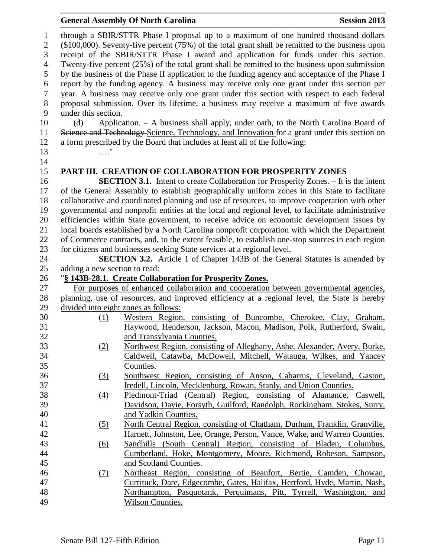|              | <b>General Assembly Of North Carolina</b>                                                              | <b>Session 2013</b> |
|--------------|--------------------------------------------------------------------------------------------------------|---------------------|
| $\mathbf{1}$ | through a SBIR/STTR Phase I proposal up to a maximum of one hundred thousand dollars                   |                     |
| 2            | $(\$100,000)$ . Seventy-five percent $(75%)$ of the total grant shall be remitted to the business upon |                     |
| 3            | receipt of the SBIR/STTR Phase I award and application for funds under this section.                   |                     |
| 4            | Twenty-five percent (25%) of the total grant shall be remitted to the business upon submission         |                     |
| 5            | by the business of the Phase II application to the funding agency and acceptance of the Phase I        |                     |
| 6            | report by the funding agency. A business may receive only one grant under this section per             |                     |
| 7            | year. A business may receive only one grant under this section with respect to each federal            |                     |
| 8            | proposal submission. Over its lifetime, a business may receive a maximum of five awards                |                     |
| 9            | under this section.                                                                                    |                     |
|              | (J) Application A business shall smally under sath to the Newth Coustine Desert of                     |                     |

 (d) Application. – A business shall apply, under oath, to the North Carolina Board of Science and Technology Science, Technology, and Innovation for a grant under this section on a form prescribed by the Board that includes at least all of the following: …."

# **PART III. CREATION OF COLLABORATION FOR PROSPERITY ZONES**

 **SECTION 3.1.** Intent to create Collaboration for Prosperity Zones. – It is the intent of the General Assembly to establish geographically uniform zones in this State to facilitate collaborative and coordinated planning and use of resources, to improve cooperation with other governmental and nonprofit entities at the local and regional level, to facilitate administrative efficiencies within State government, to receive advice on economic development issues by local boards established by a North Carolina nonprofit corporation with which the Department of Commerce contracts, and, to the extent feasible, to establish one-stop sources in each region for citizens and businesses seeking State services at a regional level.

 **SECTION 3.2.** Article 1 of Chapter 143B of the General Statutes is amended by adding a new section to read:

### "**§ 143B-28.1. Create Collaboration for Prosperity Zones.** For purposes of enhanced collaboration and cooperation between governmental agencies, planning, use of resources, and improved efficiency at a regional level, the State is hereby divided into eight zones as follows: (1) Western Region, consisting of Buncombe, Cherokee, Clay, Graham, Haywood, Henderson, Jackson, Macon, Madison, Polk, Rutherford, Swain, and Transylvania Counties. (2) Northwest Region, consisting of Alleghany, Ashe, Alexander, Avery, Burke, Caldwell, Catawba, McDowell, Mitchell, Watauga, Wilkes, and Yancey Counties. (3) Southwest Region, consisting of Anson, Cabarrus, Cleveland, Gaston, Iredell, Lincoln, Mecklenburg, Rowan, Stanly, and Union Counties. (4) Piedmont-Triad (Central) Region, consisting of Alamance, Caswell, Davidson, Davie, Forsyth, Guilford, Randolph, Rockingham, Stokes, Surry, and Yadkin Counties. (5) North Central Region, consisting of Chatham, Durham, Franklin, Granville, Harnett, Johnston, Lee, Orange, Person, Vance, Wake, and Warren Counties. (6) Sandhills (South Central) Region, consisting of Bladen, Columbus, Cumberland, Hoke, Montgomery, Moore, Richmond, Robeson, Sampson, and Scotland Counties. (7) Northeast Region, consisting of Beaufort, Bertie, Camden, Chowan, Currituck, Dare, Edgecombe, Gates, Halifax, Hertford, Hyde, Martin, Nash, Northampton, Pasquotank, Perquimans, Pitt, Tyrrell, Washington, and Wilson Counties.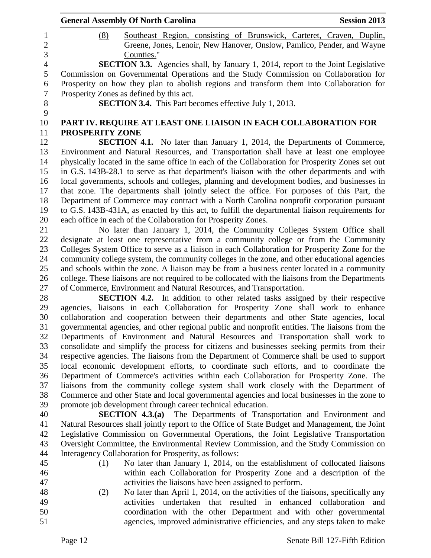|                  | <b>General Assembly Of North Carolina</b><br><b>Session 2013</b>                                                                                                        |
|------------------|-------------------------------------------------------------------------------------------------------------------------------------------------------------------------|
| $\mathbf 1$      | Southeast Region, consisting of Brunswick, Carteret, Craven, Duplin,<br>(8)                                                                                             |
| $\overline{c}$   | Greene, Jones, Lenoir, New Hanover, Onslow, Pamlico, Pender, and Wayne                                                                                                  |
| 3                | Counties."                                                                                                                                                              |
| $\overline{4}$   | <b>SECTION 3.3.</b> Agencies shall, by January 1, 2014, report to the Joint Legislative                                                                                 |
| 5                | Commission on Governmental Operations and the Study Commission on Collaboration for                                                                                     |
| 6                | Prosperity on how they plan to abolish regions and transform them into Collaboration for                                                                                |
| $\boldsymbol{7}$ | Prosperity Zones as defined by this act.                                                                                                                                |
| 8                | <b>SECTION 3.4.</b> This Part becomes effective July 1, 2013.                                                                                                           |
| 9                |                                                                                                                                                                         |
| 10               | PART IV. REQUIRE AT LEAST ONE LIAISON IN EACH COLLABORATION FOR                                                                                                         |
| 11               | <b>PROSPERITY ZONE</b>                                                                                                                                                  |
| 12               | <b>SECTION 4.1.</b> No later than January 1, 2014, the Departments of Commerce,                                                                                         |
| 13               | Environment and Natural Resources, and Transportation shall have at least one employee                                                                                  |
| 14               | physically located in the same office in each of the Collaboration for Prosperity Zones set out                                                                         |
| 15               | in G.S. 143B-28.1 to serve as that department's liaison with the other departments and with                                                                             |
| 16               | local governments, schools and colleges, planning and development bodies, and businesses in                                                                             |
| 17               | that zone. The departments shall jointly select the office. For purposes of this Part, the                                                                              |
| 18               | Department of Commerce may contract with a North Carolina nonprofit corporation pursuant                                                                                |
| 19               | to G.S. 143B-431A, as enacted by this act, to fulfill the departmental liaison requirements for                                                                         |
| 20               | each office in each of the Collaboration for Prosperity Zones.                                                                                                          |
| 21               | No later than January 1, 2014, the Community Colleges System Office shall                                                                                               |
| 22               | designate at least one representative from a community college or from the Community                                                                                    |
| 23               | Colleges System Office to serve as a liaison in each Collaboration for Prosperity Zone for the                                                                          |
| 24               | community college system, the community colleges in the zone, and other educational agencies                                                                            |
| 25<br>26         | and schools within the zone. A liaison may be from a business center located in a community                                                                             |
| 27               | college. These liaisons are not required to be collocated with the liaisons from the Departments<br>of Commerce, Environment and Natural Resources, and Transportation. |
| 28               | <b>SECTION 4.2.</b> In addition to other related tasks assigned by their respective                                                                                     |
| 29               | agencies, liaisons in each Collaboration for Prosperity Zone shall work to enhance                                                                                      |
| 30               | collaboration and cooperation between their departments and other State agencies, local                                                                                 |
| 31               | governmental agencies, and other regional public and nonprofit entities. The liaisons from the                                                                          |
| 32               | Departments of Environment and Natural Resources and Transportation shall work to                                                                                       |
| 33               | consolidate and simplify the process for citizens and businesses seeking permits from their                                                                             |
| 34               | respective agencies. The liaisons from the Department of Commerce shall be used to support                                                                              |
| 35               | local economic development efforts, to coordinate such efforts, and to coordinate the                                                                                   |
| 36               | Department of Commerce's activities within each Collaboration for Prosperity Zone. The                                                                                  |
| 37               | liaisons from the community college system shall work closely with the Department of                                                                                    |
| 38               | Commerce and other State and local governmental agencies and local businesses in the zone to                                                                            |
| 39               | promote job development through career technical education.                                                                                                             |
| 40               | SECTION 4.3.(a) The Departments of Transportation and Environment and                                                                                                   |
| 41               | Natural Resources shall jointly report to the Office of State Budget and Management, the Joint                                                                          |
| 42               | Legislative Commission on Governmental Operations, the Joint Legislative Transportation                                                                                 |
| 43               | Oversight Committee, the Environmental Review Commission, and the Study Commission on                                                                                   |
| 44               | Interagency Collaboration for Prosperity, as follows:                                                                                                                   |
| 45               | No later than January 1, 2014, on the establishment of collocated liaisons<br>(1)                                                                                       |
| 46               | within each Collaboration for Prosperity Zone and a description of the                                                                                                  |
| 47               | activities the liaisons have been assigned to perform.                                                                                                                  |
| 48               | No later than April 1, 2014, on the activities of the liaisons, specifically any<br>(2)                                                                                 |
| 49<br>50         | activities undertaken that resulted in enhanced collaboration<br>and<br>coordination with the other Department and with other governmental                              |
| 51               | agencies, improved administrative efficiencies, and any steps taken to make                                                                                             |
|                  |                                                                                                                                                                         |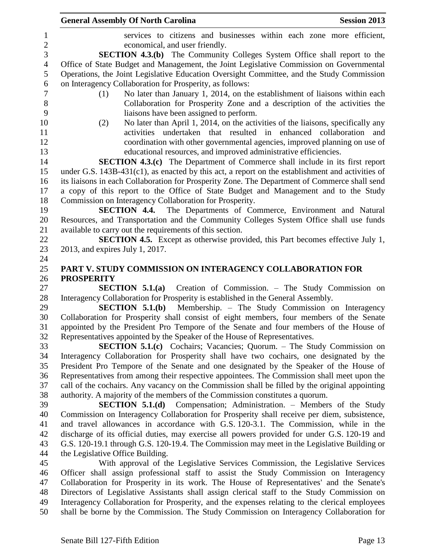|                | <b>General Assembly Of North Carolina</b><br><b>Session 2013</b>                                                                                            |
|----------------|-------------------------------------------------------------------------------------------------------------------------------------------------------------|
| $\mathbf{1}$   | services to citizens and businesses within each zone more efficient,                                                                                        |
| $\overline{c}$ | economical, and user friendly.                                                                                                                              |
| $\overline{3}$ | <b>SECTION 4.3.(b)</b> The Community Colleges System Office shall report to the                                                                             |
| $\overline{4}$ | Office of State Budget and Management, the Joint Legislative Commission on Governmental                                                                     |
| 5              | Operations, the Joint Legislative Education Oversight Committee, and the Study Commission                                                                   |
| 6              | on Interagency Collaboration for Prosperity, as follows:                                                                                                    |
| $\overline{7}$ | No later than January 1, 2014, on the establishment of liaisons within each<br>(1)                                                                          |
| $8\,$          | Collaboration for Prosperity Zone and a description of the activities the                                                                                   |
| 9              | liaisons have been assigned to perform.                                                                                                                     |
| 10             | No later than April 1, 2014, on the activities of the liaisons, specifically any<br>(2)                                                                     |
| 11             | activities undertaken that resulted in enhanced collaboration and                                                                                           |
| 12             | coordination with other governmental agencies, improved planning on use of                                                                                  |
| 13             | educational resources, and improved administrative efficiencies.                                                                                            |
| 14             | <b>SECTION 4.3.(c)</b> The Department of Commerce shall include in its first report                                                                         |
| 15             | under G.S. $143B-431(c1)$ , as enacted by this act, a report on the establishment and activities of                                                         |
| 16             | its liaisons in each Collaboration for Prosperity Zone. The Department of Commerce shall send                                                               |
| 17             | a copy of this report to the Office of State Budget and Management and to the Study                                                                         |
| 18             | Commission on Interagency Collaboration for Prosperity.                                                                                                     |
| 19             | <b>SECTION 4.4.</b><br>The Departments of Commerce, Environment and Natural                                                                                 |
| 20             | Resources, and Transportation and the Community Colleges System Office shall use funds                                                                      |
| 21             | available to carry out the requirements of this section.                                                                                                    |
| 22             | <b>SECTION 4.5.</b> Except as otherwise provided, this Part becomes effective July 1,                                                                       |
| 23             | 2013, and expires July 1, 2017.                                                                                                                             |
| 24             |                                                                                                                                                             |
| 25             | PART V. STUDY COMMISSION ON INTERAGENCY COLLABORATION FOR                                                                                                   |
| 26             | <b>PROSPERITY</b>                                                                                                                                           |
| 27             | Creation of Commission. - The Study Commission on<br>SECTION $5.1(a)$                                                                                       |
| 28             | Interagency Collaboration for Prosperity is established in the General Assembly.                                                                            |
| 29             | Membership. – The Study Commission on Interagency<br>SECTION $5.1(b)$                                                                                       |
| 30             | Collaboration for Prosperity shall consist of eight members, four members of the Senate                                                                     |
| 31             | appointed by the President Pro Tempore of the Senate and four members of the House of                                                                       |
| 32             | Representatives appointed by the Speaker of the House of Representatives.                                                                                   |
| 33             | SECTION 5.1.(c) Cochairs; Vacancies; Quorum. - The Study Commission on                                                                                      |
| 34             | Interagency Collaboration for Prosperity shall have two cochairs, one designated by the                                                                     |
| 35             | President Pro Tempore of the Senate and one designated by the Speaker of the House of                                                                       |
| 36             | Representatives from among their respective appointees. The Commission shall meet upon the                                                                  |
| 37<br>38       | call of the cochairs. Any vacancy on the Commission shall be filled by the original appointing                                                              |
| 39             | authority. A majority of the members of the Commission constitutes a quorum.<br><b>SECTION 5.1.(d)</b> Compensation; Administration. - Members of the Study |
| 40             | Commission on Interagency Collaboration for Prosperity shall receive per diem, subsistence,                                                                 |
| 41             | and travel allowances in accordance with G.S. 120-3.1. The Commission, while in the                                                                         |
| 42             | discharge of its official duties, may exercise all powers provided for under G.S. 120-19 and                                                                |
| 43             | G.S. 120-19.1 through G.S. 120-19.4. The Commission may meet in the Legislative Building or                                                                 |
| 44             | the Legislative Office Building.                                                                                                                            |
| 45             | With approval of the Legislative Services Commission, the Legislative Services                                                                              |
| 46             | Officer shall assign professional staff to assist the Study Commission on Interagency                                                                       |
| 47             | Collaboration for Prosperity in its work. The House of Representatives' and the Senate's                                                                    |
| 48             | Directors of Legislative Assistants shall assign clerical staff to the Study Commission on                                                                  |
| 49             | Interagency Collaboration for Prosperity, and the expenses relating to the clerical employees                                                               |
| 50             | shall be borne by the Commission. The Study Commission on Interagency Collaboration for                                                                     |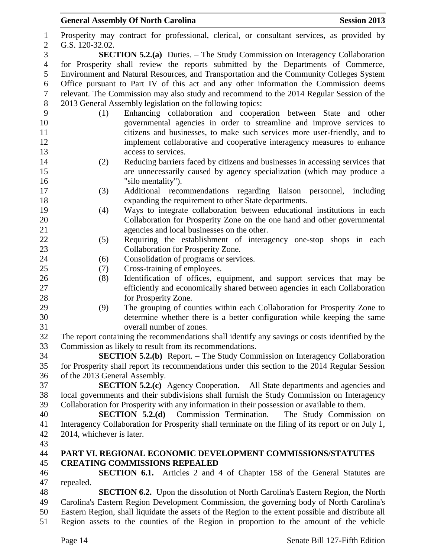| $\mathbf{1}$   | Prosperity may contract for professional, clerical, or consultant services, as provided by                     |
|----------------|----------------------------------------------------------------------------------------------------------------|
| $\overline{2}$ | G.S. 120-32.02.                                                                                                |
| 3              | <b>SECTION 5.2.(a)</b> Duties. – The Study Commission on Interagency Collaboration                             |
| $\overline{4}$ | for Prosperity shall review the reports submitted by the Departments of Commerce,                              |
| 5              | Environment and Natural Resources, and Transportation and the Community Colleges System                        |
| 6              | Office pursuant to Part IV of this act and any other information the Commission deems                          |
| $\tau$         | relevant. The Commission may also study and recommend to the 2014 Regular Session of the                       |
| $8\,$          | 2013 General Assembly legislation on the following topics:                                                     |
| 9              | Enhancing collaboration and cooperation between State and other<br>(1)                                         |
| 10             | governmental agencies in order to streamline and improve services to                                           |
| 11             | citizens and businesses, to make such services more user-friendly, and to                                      |
| 12             | implement collaborative and cooperative interagency measures to enhance                                        |
| 13             | access to services.                                                                                            |
| 14             | Reducing barriers faced by citizens and businesses in accessing services that<br>(2)                           |
| 15             | are unnecessarily caused by agency specialization (which may produce a                                         |
| 16             | "silo mentality").                                                                                             |
| 17             | Additional recommendations regarding liaison personnel, including<br>(3)                                       |
| 18             | expanding the requirement to other State departments.                                                          |
| 19             | Ways to integrate collaboration between educational institutions in each<br>(4)                                |
| 20             | Collaboration for Prosperity Zone on the one hand and other governmental                                       |
| 21<br>22       | agencies and local businesses on the other.                                                                    |
| 23             | Requiring the establishment of interagency one-stop shops in each<br>(5)<br>Collaboration for Prosperity Zone. |
| 24             | Consolidation of programs or services.<br>(6)                                                                  |
| 25             | Cross-training of employees.<br>(7)                                                                            |
| 26             | Identification of offices, equipment, and support services that may be<br>(8)                                  |
| 27             | efficiently and economically shared between agencies in each Collaboration                                     |
| 28             | for Prosperity Zone.                                                                                           |
| 29             | The grouping of counties within each Collaboration for Prosperity Zone to<br>(9)                               |
| 30             | determine whether there is a better configuration while keeping the same                                       |
| 31             | overall number of zones.                                                                                       |
| 32             | The report containing the recommendations shall identify any savings or costs identified by the                |
| 33             | Commission as likely to result from its recommendations.                                                       |
| 34             | <b>SECTION 5.2.(b)</b> Report. – The Study Commission on Interagency Collaboration                             |
| 35             | for Prosperity shall report its recommendations under this section to the 2014 Regular Session                 |
| 36             | of the 2013 General Assembly.                                                                                  |
| 37             | <b>SECTION 5.2.(c)</b> Agency Cooperation. – All State departments and agencies and                            |
| 38             | local governments and their subdivisions shall furnish the Study Commission on Interagency                     |
| 39             | Collaboration for Prosperity with any information in their possession or available to them.                    |
| 40             | <b>SECTION 5.2.(d)</b> Commission Termination. - The Study Commission on                                       |
| 41             | Interagency Collaboration for Prosperity shall terminate on the filing of its report or on July 1,             |
| 42             | 2014, whichever is later.                                                                                      |
| 43             |                                                                                                                |
| 44             | PART VI. REGIONAL ECONOMIC DEVELOPMENT COMMISSIONS/STATUTES                                                    |
| 45             | <b>CREATING COMMISSIONS REPEALED</b>                                                                           |
| 46             | <b>SECTION 6.1.</b> Articles 2 and 4 of Chapter 158 of the General Statutes are                                |
| 47             | repealed.                                                                                                      |
| 48             | <b>SECTION 6.2.</b> Upon the dissolution of North Carolina's Eastern Region, the North                         |
| 49             | Carolina's Eastern Region Development Commission, the governing body of North Carolina's                       |
| 50             | Eastern Region, shall liquidate the assets of the Region to the extent possible and distribute all             |
| 51             | Region assets to the counties of the Region in proportion to the amount of the vehicle                         |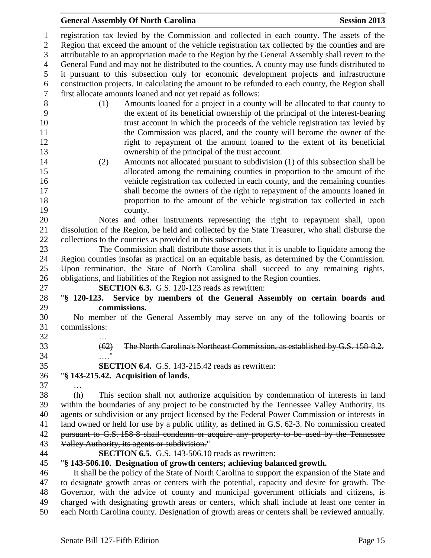registration tax levied by the Commission and collected in each county. The assets of the Region that exceed the amount of the vehicle registration tax collected by the counties and are attributable to an appropriation made to the Region by the General Assembly shall revert to the General Fund and may not be distributed to the counties. A county may use funds distributed to it pursuant to this subsection only for economic development projects and infrastructure construction projects. In calculating the amount to be refunded to each county, the Region shall first allocate amounts loaned and not yet repaid as follows:

- (1) Amounts loaned for a project in a county will be allocated to that county to the extent of its beneficial ownership of the principal of the interest-bearing trust account in which the proceeds of the vehicle registration tax levied by the Commission was placed, and the county will become the owner of the right to repayment of the amount loaned to the extent of its beneficial ownership of the principal of the trust account.
- (2) Amounts not allocated pursuant to subdivision (1) of this subsection shall be allocated among the remaining counties in proportion to the amount of the vehicle registration tax collected in each county, and the remaining counties shall become the owners of the right to repayment of the amounts loaned in proportion to the amount of the vehicle registration tax collected in each county.
- Notes and other instruments representing the right to repayment shall, upon dissolution of the Region, be held and collected by the State Treasurer, who shall disburse the collections to the counties as provided in this subsection.

 The Commission shall distribute those assets that it is unable to liquidate among the Region counties insofar as practical on an equitable basis, as determined by the Commission. Upon termination, the State of North Carolina shall succeed to any remaining rights, obligations, and liabilities of the Region not assigned to the Region counties.

**SECTION 6.3.** G.S. 120-123 reads as rewritten:

 "**§ 120-123. Service by members of the General Assembly on certain boards and commissions.**

 No member of the General Assembly may serve on any of the following boards or commissions: …

- 
- 
- (62) The North Carolina's Northeast Commission, as established by G.S. 158-8.2. …."
- **SECTION 6.4.** G.S. 143-215.42 reads as rewritten:

# "**§ 143-215.42. Acquisition of lands.**

…

 (h) This section shall not authorize acquisition by condemnation of interests in land within the boundaries of any project to be constructed by the Tennessee Valley Authority, its agents or subdivision or any project licensed by the Federal Power Commission or interests in 41 land owned or held for use by a public utility, as defined in G.S. 62-3. No commission created 42 pursuant to G.S. 158-8 shall condemn or acquire any property to be used by the Tennessee Valley Authority, its agents or subdivision."

**SECTION 6.5.** G.S. 143-506.10 reads as rewritten:

### "**§ 143-506.10. Designation of growth centers; achieving balanced growth.**

 It shall be the policy of the State of North Carolina to support the expansion of the State and to designate growth areas or centers with the potential, capacity and desire for growth. The Governor, with the advice of county and municipal government officials and citizens, is charged with designating growth areas or centers, which shall include at least one center in each North Carolina county. Designation of growth areas or centers shall be reviewed annually.